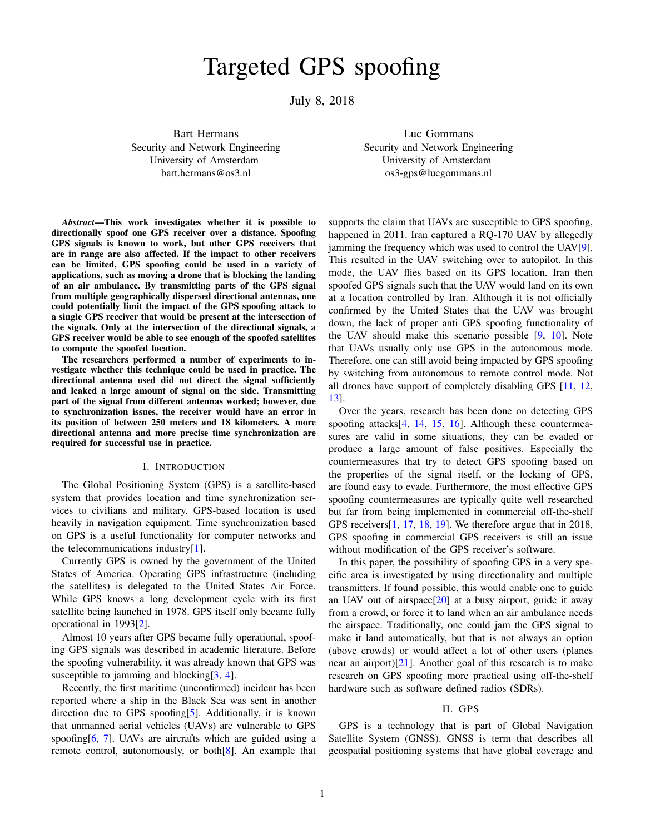# Targeted GPS spoofing

July 8, 2018

Bart Hermans Security and Network Engineering University of Amsterdam bart.hermans@os3.nl

Luc Gommans Security and Network Engineering University of Amsterdam os3-gps@lucgommans.nl

*Abstract*—This work investigates whether it is possible to directionally spoof one GPS receiver over a distance. Spoofing GPS signals is known to work, but other GPS receivers that are in range are also affected. If the impact to other receivers can be limited, GPS spoofing could be used in a variety of applications, such as moving a drone that is blocking the landing of an air ambulance. By transmitting parts of the GPS signal from multiple geographically dispersed directional antennas, one could potentially limit the impact of the GPS spoofing attack to a single GPS receiver that would be present at the intersection of the signals. Only at the intersection of the directional signals, a GPS receiver would be able to see enough of the spoofed satellites to compute the spoofed location.

The researchers performed a number of experiments to investigate whether this technique could be used in practice. The directional antenna used did not direct the signal sufficiently and leaked a large amount of signal on the side. Transmitting part of the signal from different antennas worked; however, due to synchronization issues, the receiver would have an error in its position of between 250 meters and 18 kilometers. A more directional antenna and more precise time synchronization are required for successful use in practice.

#### I. INTRODUCTION

<span id="page-0-1"></span>The Global Positioning System (GPS) is a satellite-based system that provides location and time synchronization services to civilians and military. GPS-based location is used heavily in navigation equipment. Time synchronization based on GPS is a useful functionality for computer networks and the telecommunications industry $[1]$ .

Currently GPS is owned by the government of the United States of America. Operating GPS infrastructure (including the satellites) is delegated to the United States Air Force. While GPS knows a long development cycle with its first satellite being launched in 1978. GPS itself only became fully operational in 1993[\[2\]](#page-13-1).

Almost 10 years after GPS became fully operational, spoofing GPS signals was described in academic literature. Before the spoofing vulnerability, it was already known that GPS was susceptible to jamming and blocking [\[3,](#page-14-0) [4\]](#page-14-1).

Recently, the first maritime (unconfirmed) incident has been reported where a ship in the Black Sea was sent in another direction due to GPS spoofing[\[5\]](#page-14-2). Additionally, it is known that unmanned aerial vehicles (UAVs) are vulnerable to GPS spoofing [\[6,](#page-14-3) [7\]](#page-14-4). UAVs are aircrafts which are guided using a remote control, autonomously, or both[\[8\]](#page-14-5). An example that supports the claim that UAVs are susceptible to GPS spoofing, happened in 2011. Iran captured a RQ-170 UAV by allegedly jamming the frequency which was used to control the UAV[\[9\]](#page-14-6). This resulted in the UAV switching over to autopilot. In this mode, the UAV flies based on its GPS location. Iran then spoofed GPS signals such that the UAV would land on its own at a location controlled by Iran. Although it is not officially confirmed by the United States that the UAV was brought down, the lack of proper anti GPS spoofing functionality of the UAV should make this scenario possible [\[9,](#page-14-6) [10\]](#page-14-7). Note that UAVs usually only use GPS in the autonomous mode. Therefore, one can still avoid being impacted by GPS spoofing by switching from autonomous to remote control mode. Not all drones have support of completely disabling GPS [\[11,](#page-14-8) [12,](#page-14-9) [13\]](#page-14-10).

Over the years, research has been done on detecting GPS spoofing attacks $[4, 14, 15, 16]$  $[4, 14, 15, 16]$  $[4, 14, 15, 16]$  $[4, 14, 15, 16]$  $[4, 14, 15, 16]$  $[4, 14, 15, 16]$  $[4, 14, 15, 16]$ . Although these countermeasures are valid in some situations, they can be evaded or produce a large amount of false positives. Especially the countermeasures that try to detect GPS spoofing based on the properties of the signal itself, or the locking of GPS, are found easy to evade. Furthermore, the most effective GPS spoofing countermeasures are typically quite well researched but far from being implemented in commercial off-the-shelf GPS receivers[\[1,](#page-13-0) [17,](#page-14-14) [18,](#page-14-15) [19\]](#page-14-16). We therefore argue that in 2018, GPS spoofing in commercial GPS receivers is still an issue without modification of the GPS receiver's software.

In this paper, the possibility of spoofing GPS in a very specific area is investigated by using directionality and multiple transmitters. If found possible, this would enable one to guide an UAV out of airspace $[20]$  at a busy airport, guide it away from a crowd, or force it to land when an air ambulance needs the airspace. Traditionally, one could jam the GPS signal to make it land automatically, but that is not always an option (above crowds) or would affect a lot of other users (planes near an airport)[\[21\]](#page-14-18). Another goal of this research is to make research on GPS spoofing more practical using off-the-shelf hardware such as software defined radios (SDRs).

## II. GPS

<span id="page-0-0"></span>GPS is a technology that is part of Global Navigation Satellite System (GNSS). GNSS is term that describes all geospatial positioning systems that have global coverage and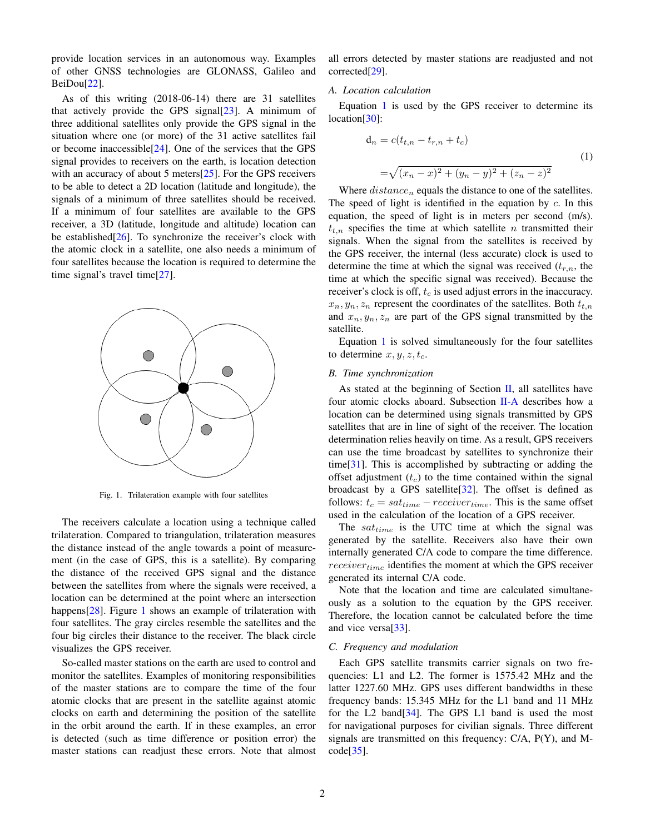provide location services in an autonomous way. Examples of other GNSS technologies are GLONASS, Galileo and BeiDou[\[22\]](#page-14-19).

As of this writing (2018-06-14) there are 31 satellites that actively provide the GPS signal $[23]$ . A minimum of three additional satellites only provide the GPS signal in the situation where one (or more) of the 31 active satellites fail or become inaccessible[\[24\]](#page-14-21). One of the services that the GPS signal provides to receivers on the earth, is location detection with an accuracy of about 5 meters<sup>[\[25\]](#page-14-22)</sup>. For the GPS receivers to be able to detect a 2D location (latitude and longitude), the signals of a minimum of three satellites should be received. If a minimum of four satellites are available to the GPS receiver, a 3D (latitude, longitude and altitude) location can be established[\[26\]](#page-14-23). To synchronize the receiver's clock with the atomic clock in a satellite, one also needs a minimum of four satellites because the location is required to determine the time signal's travel time[\[27\]](#page-14-24).



<span id="page-1-0"></span>Fig. 1. Trilateration example with four satellites

The receivers calculate a location using a technique called trilateration. Compared to triangulation, trilateration measures the distance instead of the angle towards a point of measurement (in the case of GPS, this is a satellite). By comparing the distance of the received GPS signal and the distance between the satellites from where the signals were received, a location can be determined at the point where an intersection happens[\[28\]](#page-14-25). Figure [1](#page-1-0) shows an example of trilateration with four satellites. The gray circles resemble the satellites and the four big circles their distance to the receiver. The black circle visualizes the GPS receiver.

So-called master stations on the earth are used to control and monitor the satellites. Examples of monitoring responsibilities of the master stations are to compare the time of the four atomic clocks that are present in the satellite against atomic clocks on earth and determining the position of the satellite in the orbit around the earth. If in these examples, an error is detected (such as time difference or position error) the master stations can readjust these errors. Note that almost all errors detected by master stations are readjusted and not corrected[\[29\]](#page-14-26).

#### <span id="page-1-2"></span>*A. Location calculation*

Equation [1](#page-1-1) is used by the GPS receiver to determine its location[\[30\]](#page-14-27):

<span id="page-1-1"></span>
$$
d_n = c(t_{t,n} - t_{r,n} + t_c)
$$
  
=  $\sqrt{(x_n - x)^2 + (y_n - y)^2 + (z_n - z)^2}$  (1)

Where  $distance_n$  equals the distance to one of the satellites. The speed of light is identified in the equation by  $c$ . In this equation, the speed of light is in meters per second (m/s).  $t_{t,n}$  specifies the time at which satellite n transmitted their signals. When the signal from the satellites is received by the GPS receiver, the internal (less accurate) clock is used to determine the time at which the signal was received  $(t_{r,n}$ , the time at which the specific signal was received). Because the receiver's clock is off,  $t_c$  is used adjust errors in the inaccuracy.  $x_n, y_n, z_n$  represent the coordinates of the satellites. Both  $t_{t,n}$ and  $x_n, y_n, z_n$  are part of the GPS signal transmitted by the satellite.

Equation [1](#page-1-1) is solved simultaneously for the four satellites to determine  $x, y, z, t_c$ .

## *B. Time synchronization*

As stated at the beginning of Section  $II$ , all satellites have four atomic clocks aboard. Subsection [II-A](#page-1-2) describes how a location can be determined using signals transmitted by GPS satellites that are in line of sight of the receiver. The location determination relies heavily on time. As a result, GPS receivers can use the time broadcast by satellites to synchronize their time[\[31\]](#page-14-28). This is accomplished by subtracting or adding the offset adjustment  $(t_c)$  to the time contained within the signal broadcast by a GPS satellite $[32]$ . The offset is defined as follows:  $t_c = sat_{time} - receiver_{time}$ . This is the same offset used in the calculation of the location of a GPS receiver.

The  $sat_{time}$  is the UTC time at which the signal was generated by the satellite. Receivers also have their own internally generated C/A code to compare the time difference.  $receiver_{time}$  identifies the moment at which the GPS receiver generated its internal C/A code.

Note that the location and time are calculated simultaneously as a solution to the equation by the GPS receiver. Therefore, the location cannot be calculated before the time and vice versa[\[33\]](#page-14-30).

## <span id="page-1-3"></span>*C. Frequency and modulation*

Each GPS satellite transmits carrier signals on two frequencies: L1 and L2. The former is 1575.42 MHz and the latter 1227.60 MHz. GPS uses different bandwidths in these frequency bands: 15.345 MHz for the L1 band and 11 MHz for the L2 band[\[34\]](#page-14-31). The GPS L1 band is used the most for navigational purposes for civilian signals. Three different signals are transmitted on this frequency: C/A, P(Y), and M- $code[35]$  $code[35]$ .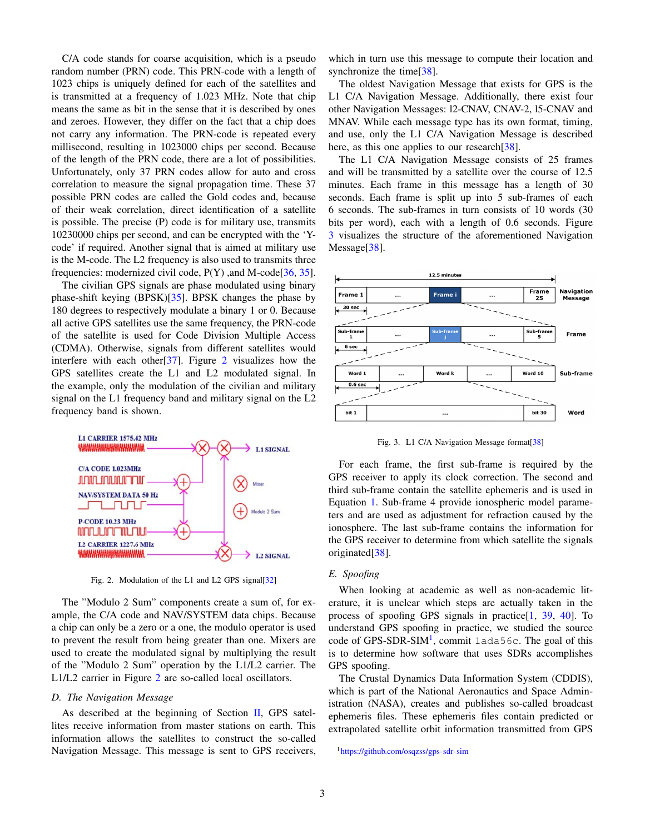C/A code stands for coarse acquisition, which is a pseudo random number (PRN) code. This PRN-code with a length of 1023 chips is uniquely defined for each of the satellites and is transmitted at a frequency of 1.023 MHz. Note that chip means the same as bit in the sense that it is described by ones and zeroes. However, they differ on the fact that a chip does not carry any information. The PRN-code is repeated every millisecond, resulting in 1023000 chips per second. Because of the length of the PRN code, there are a lot of possibilities. Unfortunately, only 37 PRN codes allow for auto and cross correlation to measure the signal propagation time. These 37 possible PRN codes are called the Gold codes and, because of their weak correlation, direct identification of a satellite is possible. The precise (P) code is for military use, transmits 10230000 chips per second, and can be encrypted with the 'Ycode' if required. Another signal that is aimed at military use is the M-code. The L2 frequency is also used to transmits three frequencies: modernized civil code,  $P(Y)$ , and M-code[\[36,](#page-14-33) [35\]](#page-14-32).

The civilian GPS signals are phase modulated using binary phase-shift keying (BPSK)[\[35\]](#page-14-32). BPSK changes the phase by 180 degrees to respectively modulate a binary 1 or 0. Because all active GPS satellites use the same frequency, the PRN-code of the satellite is used for Code Division Multiple Access (CDMA). Otherwise, signals from different satellites would interfere with each other[\[37\]](#page-14-34). Figure [2](#page-2-0) visualizes how the GPS satellites create the L1 and L2 modulated signal. In the example, only the modulation of the civilian and military signal on the L1 frequency band and military signal on the L2 frequency band is shown.



<span id="page-2-0"></span>Fig. 2. Modulation of the L1 and L2 GPS signal<sup>[\[32\]](#page-14-29)</sup>

The "Modulo 2 Sum" components create a sum of, for example, the C/A code and NAV/SYSTEM data chips. Because a chip can only be a zero or a one, the modulo operator is used to prevent the result from being greater than one. Mixers are used to create the modulated signal by multiplying the result of the "Modulo 2 Sum" operation by the L1/L2 carrier. The L1/L2 carrier in Figure [2](#page-2-0) are so-called local oscillators.

#### <span id="page-2-3"></span>*D. The Navigation Message*

As described at the beginning of Section  $II$ , GPS satellites receive information from master stations on earth. This information allows the satellites to construct the so-called Navigation Message. This message is sent to GPS receivers,

which in turn use this message to compute their location and synchronize the time<sup>[\[38\]](#page-15-0)</sup>.

The oldest Navigation Message that exists for GPS is the L1 C/A Navigation Message. Additionally, there exist four other Navigation Messages: l2-CNAV, CNAV-2, l5-CNAV and MNAV. While each message type has its own format, timing, and use, only the L1 C/A Navigation Message is described here, as this one applies to our research [\[38\]](#page-15-0).

The L1 C/A Navigation Message consists of 25 frames and will be transmitted by a satellite over the course of 12.5 minutes. Each frame in this message has a length of 30 seconds. Each frame is split up into 5 sub-frames of each 6 seconds. The sub-frames in turn consists of 10 words (30 bits per word), each with a length of 0.6 seconds. Figure [3](#page-2-1) visualizes the structure of the aforementioned Navigation Message<sup>[\[38\]](#page-15-0)</sup>.



<span id="page-2-1"></span>Fig. 3. L1 C/A Navigation Message format<sup>[\[38\]](#page-15-0)</sup>

For each frame, the first sub-frame is required by the GPS receiver to apply its clock correction. The second and third sub-frame contain the satellite ephemeris and is used in Equation [1.](#page-1-1) Sub-frame 4 provide ionospheric model parameters and are used as adjustment for refraction caused by the ionosphere. The last sub-frame contains the information for the GPS receiver to determine from which satellite the signals originated[\[38\]](#page-15-0).

## *E. Spoofing*

When looking at academic as well as non-academic literature, it is unclear which steps are actually taken in the process of spoofing GPS signals in practice[\[1,](#page-13-0) [39,](#page-15-1) [40\]](#page-15-2). To understand GPS spoofing in practice, we studied the source code of GPS-SDR-SIM<sup>[1](#page-2-2)</sup>, commit 1ada56c. The goal of this is to determine how software that uses SDRs accomplishes GPS spoofing.

The Crustal Dynamics Data Information System (CDDIS), which is part of the National Aeronautics and Space Administration (NASA), creates and publishes so-called broadcast ephemeris files. These ephemeris files contain predicted or extrapolated satellite orbit information transmitted from GPS

<span id="page-2-2"></span><sup>1</sup><https://github.com/osqzss/gps-sdr-sim>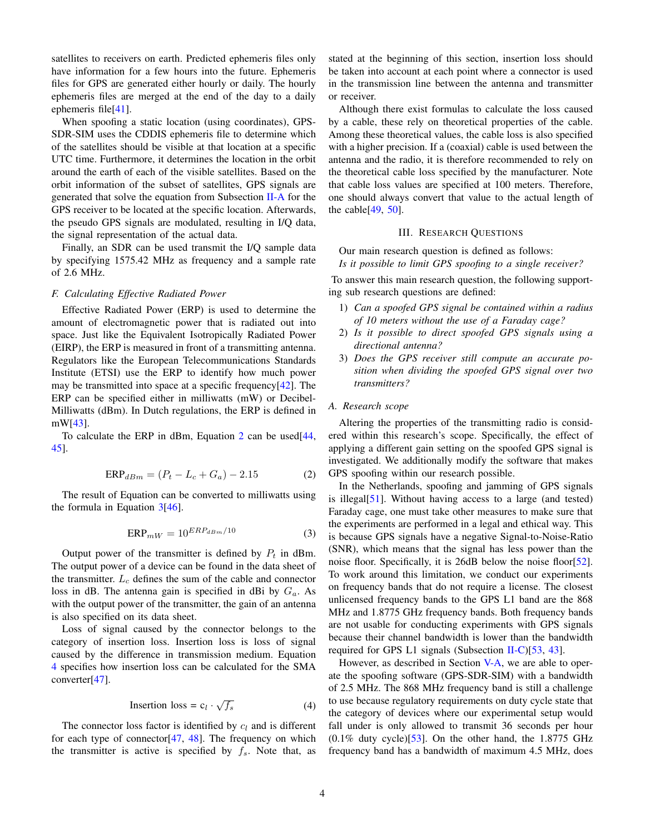satellites to receivers on earth. Predicted ephemeris files only have information for a few hours into the future. Ephemeris files for GPS are generated either hourly or daily. The hourly ephemeris files are merged at the end of the day to a daily ephemeris file[\[41\]](#page-15-3).

When spoofing a static location (using coordinates), GPS-SDR-SIM uses the CDDIS ephemeris file to determine which of the satellites should be visible at that location at a specific UTC time. Furthermore, it determines the location in the orbit around the earth of each of the visible satellites. Based on the orbit information of the subset of satellites, GPS signals are generated that solve the equation from Subsection [II-A](#page-1-2) for the GPS receiver to be located at the specific location. Afterwards, the pseudo GPS signals are modulated, resulting in I/Q data, the signal representation of the actual data.

Finally, an SDR can be used transmit the I/Q sample data by specifying 1575.42 MHz as frequency and a sample rate of 2.6 MHz.

## <span id="page-3-5"></span>*F. Calculating Effective Radiated Power*

Effective Radiated Power (ERP) is used to determine the amount of electromagnetic power that is radiated out into space. Just like the Equivalent Isotropically Radiated Power (EIRP), the ERP is measured in front of a transmitting antenna. Regulators like the European Telecommunications Standards Institute (ETSI) use the ERP to identify how much power may be transmitted into space at a specific frequency $[42]$ . The ERP can be specified either in milliwatts (mW) or Decibel-Milliwatts (dBm). In Dutch regulations, the ERP is defined in mW[\[43\]](#page-15-5).

To calculate the ERP in dBm, Equation [2](#page-3-0) can be used[\[44,](#page-15-6) [45\]](#page-15-7).

<span id="page-3-0"></span>
$$
ERP_{dBm} = (P_t - L_c + G_a) - 2.15
$$
 (2)

The result of Equation can be converted to milliwatts using the formula in Equation  $3[46]$  $3[46]$ .

<span id="page-3-1"></span>
$$
ERP_{mW} = 10^{ERP_{dBm}/10}
$$
 (3)

Output power of the transmitter is defined by  $P_t$  in dBm. The output power of a device can be found in the data sheet of the transmitter.  $L_c$  defines the sum of the cable and connector loss in dB. The antenna gain is specified in dBi by  $G_a$ . As with the output power of the transmitter, the gain of an antenna is also specified on its data sheet.

Loss of signal caused by the connector belongs to the category of insertion loss. Insertion loss is loss of signal caused by the difference in transmission medium. Equation [4](#page-3-2) specifies how insertion loss can be calculated for the SMA converter[\[47\]](#page-15-9).

<span id="page-3-2"></span>Insertion loss = 
$$
c_l \cdot \sqrt{f_s}
$$
 (4)

The connector loss factor is identified by  $c_l$  and is different for each type of connector  $[47, 48]$  $[47, 48]$  $[47, 48]$ . The frequency on which the transmitter is active is specified by  $f_s$ . Note that, as stated at the beginning of this section, insertion loss should be taken into account at each point where a connector is used in the transmission line between the antenna and transmitter or receiver.

Although there exist formulas to calculate the loss caused by a cable, these rely on theoretical properties of the cable. Among these theoretical values, the cable loss is also specified with a higher precision. If a (coaxial) cable is used between the antenna and the radio, it is therefore recommended to rely on the theoretical cable loss specified by the manufacturer. Note that cable loss values are specified at 100 meters. Therefore, one should always convert that value to the actual length of the cable  $[49, 50]$  $[49, 50]$  $[49, 50]$ .

#### III. RESEARCH QUESTIONS

<span id="page-3-3"></span>Our main research question is defined as follows: *Is it possible to limit GPS spoofing to a single receiver?*

To answer this main research question, the following supporting sub research questions are defined:

- 1) *Can a spoofed GPS signal be contained within a radius of 10 meters without the use of a Faraday cage?*
- 2) *Is it possible to direct spoofed GPS signals using a directional antenna?*
- 3) *Does the GPS receiver still compute an accurate position when dividing the spoofed GPS signal over two transmitters?*

## <span id="page-3-4"></span>*A. Research scope*

Altering the properties of the transmitting radio is considered within this research's scope. Specifically, the effect of applying a different gain setting on the spoofed GPS signal is investigated. We additionally modify the software that makes GPS spoofing within our research possible.

In the Netherlands, spoofing and jamming of GPS signals is illegal[\[51\]](#page-15-13). Without having access to a large (and tested) Faraday cage, one must take other measures to make sure that the experiments are performed in a legal and ethical way. This is because GPS signals have a negative Signal-to-Noise-Ratio (SNR), which means that the signal has less power than the noise floor. Specifically, it is 26dB below the noise floor[\[52\]](#page-15-14). To work around this limitation, we conduct our experiments on frequency bands that do not require a license. The closest unlicensed frequency bands to the GPS L1 band are the 868 MHz and 1.8775 GHz frequency bands. Both frequency bands are not usable for conducting experiments with GPS signals because their channel bandwidth is lower than the bandwidth required for GPS L1 signals (Subsection [II-C\)](#page-1-3)[\[53,](#page-15-15) [43\]](#page-15-5).

However, as described in Section [V-A,](#page-5-0) we are able to operate the spoofing software (GPS-SDR-SIM) with a bandwidth of 2.5 MHz. The 868 MHz frequency band is still a challenge to use because regulatory requirements on duty cycle state that the category of devices where our experimental setup would fall under is only allowed to transmit 36 seconds per hour  $(0.1\%$  duty cycle)<sup>[\[53\]](#page-15-15)</sup>. On the other hand, the 1.8775 GHz frequency band has a bandwidth of maximum 4.5 MHz, does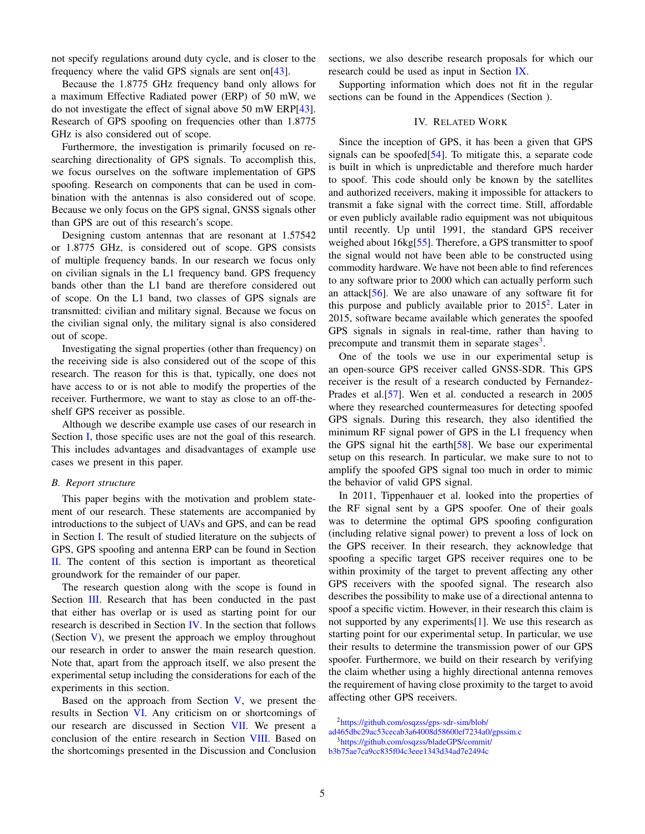not specify regulations around duty cycle, and is closer to the frequency where the valid GPS signals are sent on[\[43\]](#page-15-5).

Because the 1.8775 GHz frequency band only allows for a maximum Effective Radiated power (ERP) of 50 mW, we do not investigate the effect of signal above 50 mW ERP[\[43\]](#page-15-5). Research of GPS spoofing on frequencies other than 1.8775 GHz is also considered out of scope.

Furthermore, the investigation is primarily focused on researching directionality of GPS signals. To accomplish this, we focus ourselves on the software implementation of GPS spoofing. Research on components that can be used in combination with the antennas is also considered out of scope. Because we only focus on the GPS signal, GNSS signals other than GPS are out of this research's scope.

Designing custom antennas that are resonant at 1.57542 or 1.8775 GHz, is considered out of scope. GPS consists of multiple frequency bands. In our research we focus only on civilian signals in the L1 frequency band. GPS frequency bands other than the L1 band are therefore considered out of scope. On the L1 band, two classes of GPS signals are transmitted: civilian and military signal. Because we focus on the civilian signal only, the military signal is also considered out of scope.

Investigating the signal properties (other than frequency) on the receiving side is also considered out of the scope of this research. The reason for this is that, typically, one does not have access to or is not able to modify the properties of the receiver. Furthermore, we want to stay as close to an off-theshelf GPS receiver as possible.

Although we describe example use cases of our research in Section [I,](#page-0-1) those specific uses are not the goal of this research. This includes advantages and disadvantages of example use cases we present in this paper.

#### *B. Report structure*

This paper begins with the motivation and problem statement of our research. These statements are accompanied by introductions to the subject of UAVs and GPS, and can be read in Section [I.](#page-0-1) The result of studied literature on the subjects of GPS, GPS spoofing and antenna ERP can be found in Section [II.](#page-0-0) The content of this section is important as theoretical groundwork for the remainder of our paper.

The research question along with the scope is found in Section [III.](#page-3-3) Research that has been conducted in the past that either has overlap or is used as starting point for our research is described in Section [IV.](#page-4-0) In the section that follows (Section  $V$ ), we present the approach we employ throughout our research in order to answer the main research question. Note that, apart from the approach itself, we also present the experimental setup including the considerations for each of the experiments in this section.

Based on the approach from Section  $V$ , we present the results in Section [VI.](#page-8-0) Any criticism on or shortcomings of our research are discussed in Section [VII.](#page-11-0) We present a conclusion of the entire research in Section [VIII.](#page-12-0) Based on the shortcomings presented in the Discussion and Conclusion sections, we also describe research proposals for which our research could be used as input in Section [IX.](#page-13-2)

Supporting information which does not fit in the regular sections can be found in the Appendices (Section ).

## IV. RELATED WORK

<span id="page-4-0"></span>Since the inception of GPS, it has been a given that GPS signals can be spoofed[\[54\]](#page-15-16). To mitigate this, a separate code is built in which is unpredictable and therefore much harder to spoof. This code should only be known by the satellites and authorized receivers, making it impossible for attackers to transmit a fake signal with the correct time. Still, affordable or even publicly available radio equipment was not ubiquitous until recently. Up until 1991, the standard GPS receiver weighed about 16kg[\[55\]](#page-15-17). Therefore, a GPS transmitter to spoof the signal would not have been able to be constructed using commodity hardware. We have not been able to find references to any software prior to 2000 which can actually perform such an attack $[56]$ . We are also unaware of any software fit for this purpose and publicly available prior to  $2015^2$  $2015^2$ . Later in 2015, software became available which generates the spoofed GPS signals in signals in real-time, rather than having to precompute and transmit them in separate stages<sup>[3](#page-4-2)</sup>.

One of the tools we use in our experimental setup is an open-source GPS receiver called GNSS-SDR. This GPS receiver is the result of a research conducted by Fernandez-Prades et al.[\[57\]](#page-15-19). Wen et al. conducted a research in 2005 where they researched countermeasures for detecting spoofed GPS signals. During this research, they also identified the minimum RF signal power of GPS in the L1 frequency when the GPS signal hit the earth[\[58\]](#page-15-20). We base our experimental setup on this research. In particular, we make sure to not to amplify the spoofed GPS signal too much in order to mimic the behavior of valid GPS signal.

In 2011, Tippenhauer et al. looked into the properties of the RF signal sent by a GPS spoofer. One of their goals was to determine the optimal GPS spoofing configuration (including relative signal power) to prevent a loss of lock on the GPS receiver. In their research, they acknowledge that spoofing a specific target GPS receiver requires one to be within proximity of the target to prevent affecting any other GPS receivers with the spoofed signal. The research also describes the possibility to make use of a directional antenna to spoof a specific victim. However, in their research this claim is not supported by any experiments[\[1\]](#page-13-0). We use this research as starting point for our experimental setup. In particular, we use their results to determine the transmission power of our GPS spoofer. Furthermore, we build on their research by verifying the claim whether using a highly directional antenna removes the requirement of having close proximity to the target to avoid affecting other GPS receivers.

<sup>3</sup>[https://github.com/osqzss/bladeGPS/commit/](https://github.com/osqzss/bladeGPS/commit/b3b75ae7ca9cc835f04c3eee1343d34ad7e2494c)

<span id="page-4-1"></span><sup>2</sup>[https://github.com/osqzss/gps-sdr-sim/blob/](https://github.com/osqzss/gps-sdr-sim/blob/ad465dbc29ac53cecab3a64008d58600ef7234a0/gpssim.c)

<span id="page-4-2"></span>[ad465dbc29ac53cecab3a64008d58600ef7234a0/gpssim.c](https://github.com/osqzss/gps-sdr-sim/blob/ad465dbc29ac53cecab3a64008d58600ef7234a0/gpssim.c)

[b3b75ae7ca9cc835f04c3eee1343d34ad7e2494c](https://github.com/osqzss/bladeGPS/commit/b3b75ae7ca9cc835f04c3eee1343d34ad7e2494c)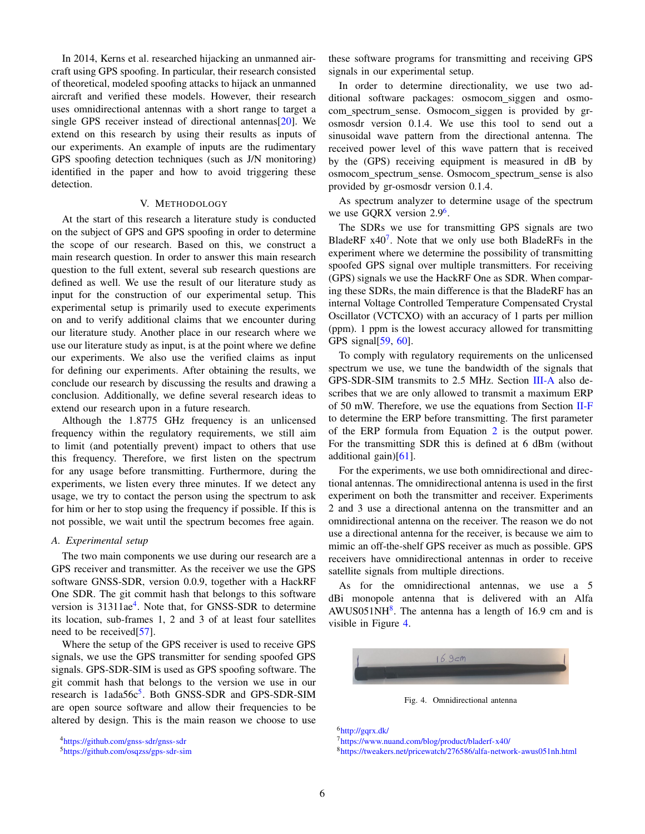In 2014, Kerns et al. researched hijacking an unmanned aircraft using GPS spoofing. In particular, their research consisted of theoretical, modeled spoofing attacks to hijack an unmanned aircraft and verified these models. However, their research uses omnidirectional antennas with a short range to target a single GPS receiver instead of directional antennas[\[20\]](#page-14-17). We extend on this research by using their results as inputs of our experiments. An example of inputs are the rudimentary GPS spoofing detection techniques (such as J/N monitoring) identified in the paper and how to avoid triggering these detection.

## V. METHODOLOGY

<span id="page-5-1"></span>At the start of this research a literature study is conducted on the subject of GPS and GPS spoofing in order to determine the scope of our research. Based on this, we construct a main research question. In order to answer this main research question to the full extent, several sub research questions are defined as well. We use the result of our literature study as input for the construction of our experimental setup. This experimental setup is primarily used to execute experiments on and to verify additional claims that we encounter during our literature study. Another place in our research where we use our literature study as input, is at the point where we define our experiments. We also use the verified claims as input for defining our experiments. After obtaining the results, we conclude our research by discussing the results and drawing a conclusion. Additionally, we define several research ideas to extend our research upon in a future research.

Although the 1.8775 GHz frequency is an unlicensed frequency within the regulatory requirements, we still aim to limit (and potentially prevent) impact to others that use this frequency. Therefore, we first listen on the spectrum for any usage before transmitting. Furthermore, during the experiments, we listen every three minutes. If we detect any usage, we try to contact the person using the spectrum to ask for him or her to stop using the frequency if possible. If this is not possible, we wait until the spectrum becomes free again.

#### <span id="page-5-0"></span>*A. Experimental setup*

The two main components we use during our research are a GPS receiver and transmitter. As the receiver we use the GPS software GNSS-SDR, version 0.0.9, together with a HackRF One SDR. The git commit hash that belongs to this software version is 31311ae<sup>[4](#page-5-2)</sup>. Note that, for GNSS-SDR to determine its location, sub-frames 1, 2 and 3 of at least four satellites need to be received[\[57\]](#page-15-19).

Where the setup of the GPS receiver is used to receive GPS signals, we use the GPS transmitter for sending spoofed GPS signals. GPS-SDR-SIM is used as GPS spoofing software. The git commit hash that belongs to the version we use in our research is 1ada[5](#page-5-3)6c<sup>5</sup>. Both GNSS-SDR and GPS-SDR-SIM are open source software and allow their frequencies to be altered by design. This is the main reason we choose to use these software programs for transmitting and receiving GPS signals in our experimental setup.

In order to determine directionality, we use two additional software packages: osmocom\_siggen and osmocom spectrum sense. Osmocom siggen is provided by grosmosdr version 0.1.4. We use this tool to send out a sinusoidal wave pattern from the directional antenna. The received power level of this wave pattern that is received by the (GPS) receiving equipment is measured in dB by osmocom spectrum sense. Osmocom spectrum sense is also provided by gr-osmosdr version 0.1.4.

As spectrum analyzer to determine usage of the spectrum we use GQRX version 2.9<sup>[6](#page-5-4)</sup>.

The SDRs we use for transmitting GPS signals are two BladeRF  $x40^7$  $x40^7$ . Note that we only use both BladeRFs in the experiment where we determine the possibility of transmitting spoofed GPS signal over multiple transmitters. For receiving (GPS) signals we use the HackRF One as SDR. When comparing these SDRs, the main difference is that the BladeRF has an internal Voltage Controlled Temperature Compensated Crystal Oscillator (VCTCXO) with an accuracy of 1 parts per million (ppm). 1 ppm is the lowest accuracy allowed for transmitting GPS signal[\[59,](#page-15-21) [60\]](#page-15-22).

To comply with regulatory requirements on the unlicensed spectrum we use, we tune the bandwidth of the signals that GPS-SDR-SIM transmits to 2.5 MHz. Section [III-A](#page-3-4) also describes that we are only allowed to transmit a maximum ERP of 50 mW. Therefore, we use the equations from Section [II-F](#page-3-5) to determine the ERP before transmitting. The first parameter of the ERP formula from Equation [2](#page-3-0) is the output power. For the transmitting SDR this is defined at 6 dBm (without additional gain)[\[61\]](#page-15-23).

For the experiments, we use both omnidirectional and directional antennas. The omnidirectional antenna is used in the first experiment on both the transmitter and receiver. Experiments 2 and 3 use a directional antenna on the transmitter and an omnidirectional antenna on the receiver. The reason we do not use a directional antenna for the receiver, is because we aim to mimic an off-the-shelf GPS receiver as much as possible. GPS receivers have omnidirectional antennas in order to receive satellite signals from multiple directions.

As for the omnidirectional antennas, we use a 5 dBi monopole antenna that is delivered with an Alfa  $AWUS051NH<sup>8</sup>$  $AWUS051NH<sup>8</sup>$  $AWUS051NH<sup>8</sup>$ . The antenna has a length of 16.9 cm and is visible in Figure [4.](#page-5-7)



<span id="page-5-7"></span>Fig. 4. Omnidirectional antenna

<span id="page-5-4"></span><sup>6</sup><http://gqrx.dk/>

<span id="page-5-6"></span><span id="page-5-5"></span><sup>7</sup><https://www.nuand.com/blog/product/bladerf-x40/> <sup>8</sup><https://tweakers.net/pricewatch/276586/alfa-network-awus051nh.html>

<span id="page-5-2"></span><sup>4</sup><https://github.com/gnss-sdr/gnss-sdr>

<span id="page-5-3"></span><sup>5</sup><https://github.com/osqzss/gps-sdr-sim>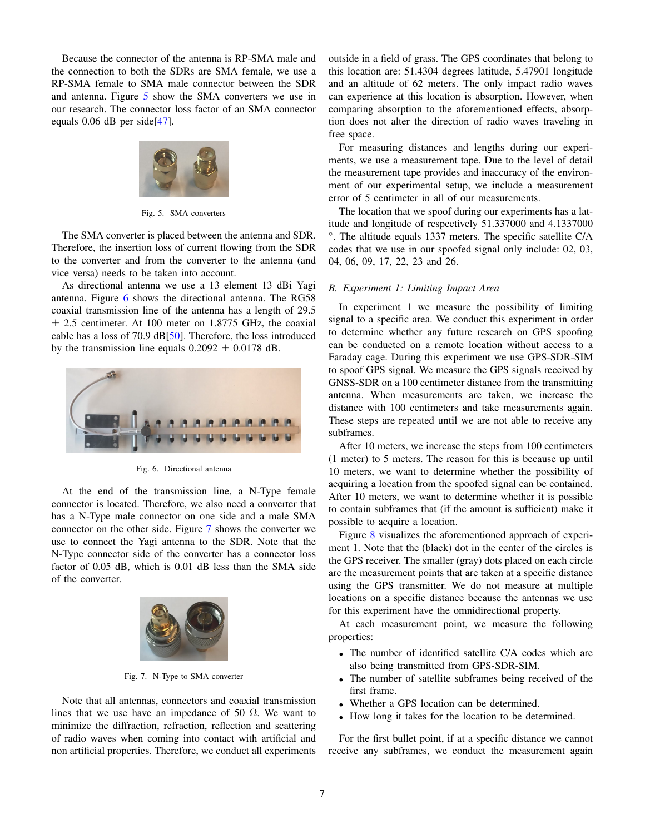Because the connector of the antenna is RP-SMA male and the connection to both the SDRs are SMA female, we use a RP-SMA female to SMA male connector between the SDR and antenna. Figure [5](#page-6-0) show the SMA converters we use in our research. The connector loss factor of an SMA connector equals 0.06 dB per side[\[47\]](#page-15-9).

<span id="page-6-0"></span>

Fig. 5. SMA converters

The SMA converter is placed between the antenna and SDR. Therefore, the insertion loss of current flowing from the SDR to the converter and from the converter to the antenna (and vice versa) needs to be taken into account.

As directional antenna we use a 13 element 13 dBi Yagi antenna. Figure [6](#page-6-1) shows the directional antenna. The RG58 coaxial transmission line of the antenna has a length of 29.5  $\pm$  2.5 centimeter. At 100 meter on 1.8775 GHz, the coaxial cable has a loss of 70.9 dB[\[50\]](#page-15-12). Therefore, the loss introduced by the transmission line equals  $0.2092 \pm 0.0178$  dB.



Fig. 6. Directional antenna

<span id="page-6-1"></span>At the end of the transmission line, a N-Type female connector is located. Therefore, we also need a converter that has a N-Type male connector on one side and a male SMA connector on the other side. Figure [7](#page-6-2) shows the converter we use to connect the Yagi antenna to the SDR. Note that the N-Type connector side of the converter has a connector loss factor of 0.05 dB, which is 0.01 dB less than the SMA side of the converter.

<span id="page-6-2"></span>

Fig. 7. N-Type to SMA converter

Note that all antennas, connectors and coaxial transmission lines that we use have an impedance of 50  $\Omega$ . We want to minimize the diffraction, refraction, reflection and scattering of radio waves when coming into contact with artificial and non artificial properties. Therefore, we conduct all experiments outside in a field of grass. The GPS coordinates that belong to this location are: 51.4304 degrees latitude, 5.47901 longitude and an altitude of 62 meters. The only impact radio waves can experience at this location is absorption. However, when comparing absorption to the aforementioned effects, absorption does not alter the direction of radio waves traveling in free space.

For measuring distances and lengths during our experiments, we use a measurement tape. Due to the level of detail the measurement tape provides and inaccuracy of the environment of our experimental setup, we include a measurement error of 5 centimeter in all of our measurements.

The location that we spoof during our experiments has a latitude and longitude of respectively 51.337000 and 4.1337000 ◦ . The altitude equals 1337 meters. The specific satellite C/A codes that we use in our spoofed signal only include: 02, 03, 04, 06, 09, 17, 22, 23 and 26.

#### <span id="page-6-3"></span>*B. Experiment 1: Limiting Impact Area*

In experiment 1 we measure the possibility of limiting signal to a specific area. We conduct this experiment in order to determine whether any future research on GPS spoofing can be conducted on a remote location without access to a Faraday cage. During this experiment we use GPS-SDR-SIM to spoof GPS signal. We measure the GPS signals received by GNSS-SDR on a 100 centimeter distance from the transmitting antenna. When measurements are taken, we increase the distance with 100 centimeters and take measurements again. These steps are repeated until we are not able to receive any subframes.

After 10 meters, we increase the steps from 100 centimeters (1 meter) to 5 meters. The reason for this is because up until 10 meters, we want to determine whether the possibility of acquiring a location from the spoofed signal can be contained. After 10 meters, we want to determine whether it is possible to contain subframes that (if the amount is sufficient) make it possible to acquire a location.

Figure [8](#page-7-0) visualizes the aforementioned approach of experiment 1. Note that the (black) dot in the center of the circles is the GPS receiver. The smaller (gray) dots placed on each circle are the measurement points that are taken at a specific distance using the GPS transmitter. We do not measure at multiple locations on a specific distance because the antennas we use for this experiment have the omnidirectional property.

At each measurement point, we measure the following properties:

- The number of identified satellite C/A codes which are also being transmitted from GPS-SDR-SIM.
- The number of satellite subframes being received of the first frame.
- Whether a GPS location can be determined.
- How long it takes for the location to be determined.

For the first bullet point, if at a specific distance we cannot receive any subframes, we conduct the measurement again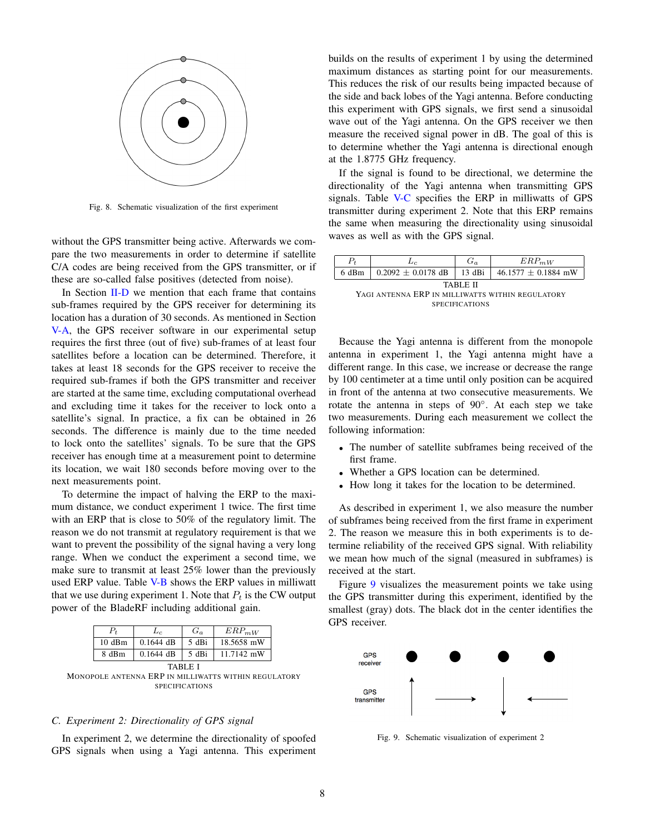

<span id="page-7-0"></span>Fig. 8. Schematic visualization of the first experiment

without the GPS transmitter being active. Afterwards we compare the two measurements in order to determine if satellite C/A codes are being received from the GPS transmitter, or if these are so-called false positives (detected from noise).

In Section [II-D](#page-2-3) we mention that each frame that contains sub-frames required by the GPS receiver for determining its location has a duration of 30 seconds. As mentioned in Section [V-A,](#page-5-0) the GPS receiver software in our experimental setup requires the first three (out of five) sub-frames of at least four satellites before a location can be determined. Therefore, it takes at least 18 seconds for the GPS receiver to receive the required sub-frames if both the GPS transmitter and receiver are started at the same time, excluding computational overhead and excluding time it takes for the receiver to lock onto a satellite's signal. In practice, a fix can be obtained in 26 seconds. The difference is mainly due to the time needed to lock onto the satellites' signals. To be sure that the GPS receiver has enough time at a measurement point to determine its location, we wait 180 seconds before moving over to the next measurements point.

To determine the impact of halving the ERP to the maximum distance, we conduct experiment 1 twice. The first time with an ERP that is close to 50% of the regulatory limit. The reason we do not transmit at regulatory requirement is that we want to prevent the possibility of the signal having a very long range. When we conduct the experiment a second time, we make sure to transmit at least 25% lower than the previously used ERP value. Table [V-B](#page-7-0) shows the ERP values in milliwatt that we use during experiment 1. Note that  $P_t$  is the CW output power of the BladeRF including additional gain.



#### <span id="page-7-1"></span>*C. Experiment 2: Directionality of GPS signal*

In experiment 2, we determine the directionality of spoofed GPS signals when using a Yagi antenna. This experiment builds on the results of experiment 1 by using the determined maximum distances as starting point for our measurements. This reduces the risk of our results being impacted because of the side and back lobes of the Yagi antenna. Before conducting this experiment with GPS signals, we first send a sinusoidal wave out of the Yagi antenna. On the GPS receiver we then measure the received signal power in dB. The goal of this is to determine whether the Yagi antenna is directional enough at the 1.8775 GHz frequency.

If the signal is found to be directional, we determine the directionality of the Yagi antenna when transmitting GPS signals. Table [V-C](#page-7-1) specifies the ERP in milliwatts of GPS transmitter during experiment 2. Note that this ERP remains the same when measuring the directionality using sinusoidal waves as well as with the GPS signal.

| $P_{t}$                                          | Le                     | $G_a$    | $ERP_{mW}$              |  |  |  |
|--------------------------------------------------|------------------------|----------|-------------------------|--|--|--|
| 6 dBm                                            | $0.2092 \pm 0.0178$ dB | $13$ dBi | $46.1577 \pm 0.1884$ mW |  |  |  |
| TABLE II                                         |                        |          |                         |  |  |  |
| YAGI ANTENNA ERP IN MILLIWATTS WITHIN REGULATORY |                        |          |                         |  |  |  |
| <b>SPECIFICATIONS</b>                            |                        |          |                         |  |  |  |

Because the Yagi antenna is different from the monopole antenna in experiment 1, the Yagi antenna might have a different range. In this case, we increase or decrease the range by 100 centimeter at a time until only position can be acquired in front of the antenna at two consecutive measurements. We rotate the antenna in steps of 90◦ . At each step we take two measurements. During each measurement we collect the following information:

- The number of satellite subframes being received of the first frame.
- Whether a GPS location can be determined.
- How long it takes for the location to be determined.

As described in experiment 1, we also measure the number of subframes being received from the first frame in experiment 2. The reason we measure this in both experiments is to determine reliability of the received GPS signal. With reliability we mean how much of the signal (measured in subframes) is received at the start.

Figure [9](#page-7-2) visualizes the measurement points we take using the GPS transmitter during this experiment, identified by the smallest (gray) dots. The black dot in the center identifies the GPS receiver.



<span id="page-7-2"></span>Fig. 9. Schematic visualization of experiment 2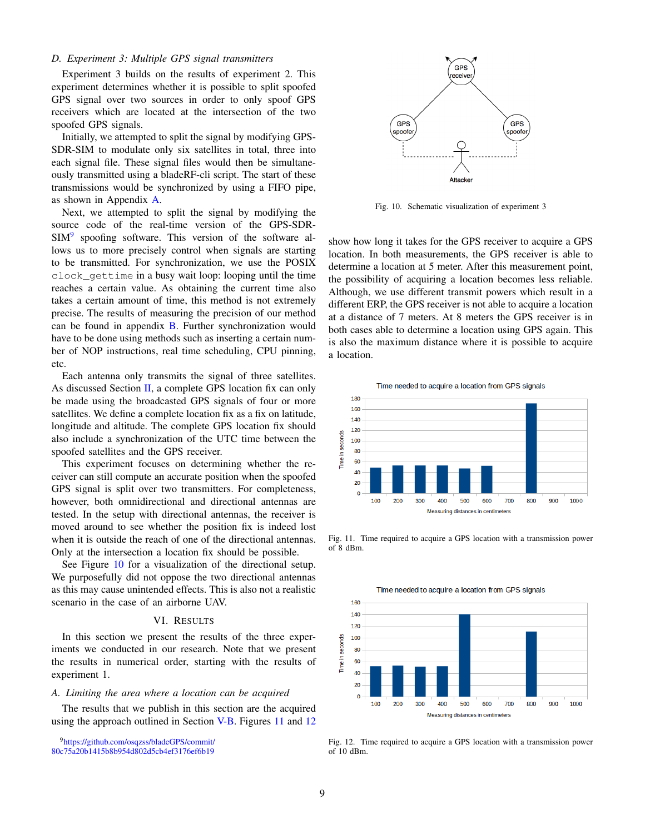## *D. Experiment 3: Multiple GPS signal transmitters*

Experiment 3 builds on the results of experiment 2. This experiment determines whether it is possible to split spoofed GPS signal over two sources in order to only spoof GPS receivers which are located at the intersection of the two spoofed GPS signals.

Initially, we attempted to split the signal by modifying GPS-SDR-SIM to modulate only six satellites in total, three into each signal file. These signal files would then be simultaneously transmitted using a bladeRF-cli script. The start of these transmissions would be synchronized by using a FIFO pipe, as shown in Appendix [A.](#page-13-3)

Next, we attempted to split the signal by modifying the source code of the real-time version of the GPS-SDR-SIM<sup>[9](#page-8-1)</sup> spoofing software. This version of the software allows us to more precisely control when signals are starting to be transmitted. For synchronization, we use the POSIX clock\_gettime in a busy wait loop: looping until the time reaches a certain value. As obtaining the current time also takes a certain amount of time, this method is not extremely precise. The results of measuring the precision of our method can be found in appendix [B.](#page-13-4) Further synchronization would have to be done using methods such as inserting a certain number of NOP instructions, real time scheduling, CPU pinning, etc.

Each antenna only transmits the signal of three satellites. As discussed Section [II,](#page-0-0) a complete GPS location fix can only be made using the broadcasted GPS signals of four or more satellites. We define a complete location fix as a fix on latitude, longitude and altitude. The complete GPS location fix should also include a synchronization of the UTC time between the spoofed satellites and the GPS receiver.

This experiment focuses on determining whether the receiver can still compute an accurate position when the spoofed GPS signal is split over two transmitters. For completeness, however, both omnidirectional and directional antennas are tested. In the setup with directional antennas, the receiver is moved around to see whether the position fix is indeed lost when it is outside the reach of one of the directional antennas. Only at the intersection a location fix should be possible.

See Figure [10](#page-8-2) for a visualization of the directional setup. We purposefully did not oppose the two directional antennas as this may cause unintended effects. This is also not a realistic scenario in the case of an airborne UAV.

## VI. RESULTS

<span id="page-8-0"></span>In this section we present the results of the three experiments we conducted in our research. Note that we present the results in numerical order, starting with the results of experiment 1.

## *A. Limiting the area where a location can be acquired*

The results that we publish in this section are the acquired using the approach outlined in Section [V-B.](#page-6-3) Figures [11](#page-8-3) and [12](#page-8-4)

<span id="page-8-1"></span><sup>9</sup>[https://github.com/osqzss/bladeGPS/commit/]( https://github.com/osqzss/bladeGPS/commit/80c75a20b1415b8b954d802d5cb4ef3176ef6b19)



<span id="page-8-2"></span>Fig. 10. Schematic visualization of experiment 3

show how long it takes for the GPS receiver to acquire a GPS location. In both measurements, the GPS receiver is able to determine a location at 5 meter. After this measurement point, the possibility of acquiring a location becomes less reliable. Although, we use different transmit powers which result in a different ERP, the GPS receiver is not able to acquire a location at a distance of 7 meters. At 8 meters the GPS receiver is in both cases able to determine a location using GPS again. This is also the maximum distance where it is possible to acquire a location.





<span id="page-8-3"></span>Fig. 11. Time required to acquire a GPS location with a transmission power of 8 dBm.



<span id="page-8-4"></span>Fig. 12. Time required to acquire a GPS location with a transmission power of  $10$  dBm.

[<sup>80</sup>c75a20b1415b8b954d802d5cb4ef3176ef6b19]( https://github.com/osqzss/bladeGPS/commit/80c75a20b1415b8b954d802d5cb4ef3176ef6b19)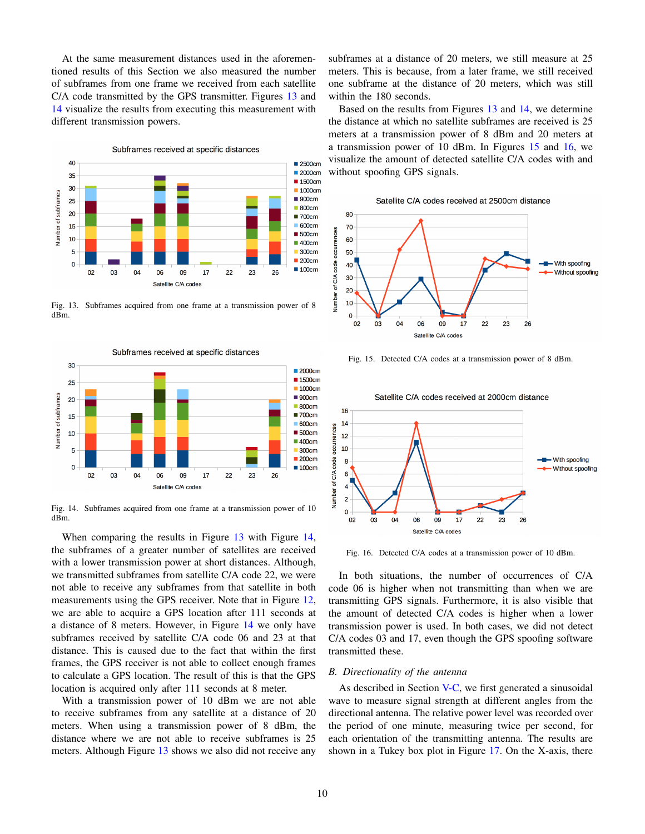At the same measurement distances used in the aforementioned results of this Section we also measured the number of subframes from one frame we received from each satellite C/A code transmitted by the GPS transmitter. Figures [13](#page-9-0) and [14](#page-9-1) visualize the results from executing this measurement with different transmission powers.



<span id="page-9-0"></span>Fig. 13. Subframes acquired from one frame at a transmission power of 8 dBm.



<span id="page-9-1"></span>Fig. 14. Subframes acquired from one frame at a transmission power of 10 dBm.

When comparing the results in Figure [13](#page-9-0) with Figure [14,](#page-9-1) the subframes of a greater number of satellites are received with a lower transmission power at short distances. Although, we transmitted subframes from satellite C/A code 22, we were not able to receive any subframes from that satellite in both measurements using the GPS receiver. Note that in Figure [12,](#page-8-4) we are able to acquire a GPS location after 111 seconds at a distance of 8 meters. However, in Figure [14](#page-9-1) we only have subframes received by satellite C/A code 06 and 23 at that distance. This is caused due to the fact that within the first frames, the GPS receiver is not able to collect enough frames to calculate a GPS location. The result of this is that the GPS location is acquired only after 111 seconds at 8 meter.

With a transmission power of 10 dBm we are not able to receive subframes from any satellite at a distance of 20 meters. When using a transmission power of 8 dBm, the distance where we are not able to receive subframes is 25 meters. Although Figure [13](#page-9-0) shows we also did not receive any subframes at a distance of 20 meters, we still measure at 25 meters. This is because, from a later frame, we still received one subframe at the distance of 20 meters, which was still within the 180 seconds.

Based on the results from Figures [13](#page-9-0) and [14,](#page-9-1) we determine the distance at which no satellite subframes are received is 25 meters at a transmission power of 8 dBm and 20 meters at a transmission power of 10 dBm. In Figures [15](#page-9-2) and [16,](#page-9-3) we visualize the amount of detected satellite C/A codes with and without spoofing GPS signals.





<span id="page-9-2"></span>Fig. 15. Detected C/A codes at a transmission power of 8 dBm.



<span id="page-9-3"></span>Fig. 16. Detected C/A codes at a transmission power of 10 dBm.

In both situations, the number of occurrences of C/A code 06 is higher when not transmitting than when we are transmitting GPS signals. Furthermore, it is also visible that the amount of detected C/A codes is higher when a lower transmission power is used. In both cases, we did not detect C/A codes 03 and 17, even though the GPS spoofing software transmitted these.

#### <span id="page-9-4"></span>*B. Directionality of the antenna*

As described in Section [V-C,](#page-7-1) we first generated a sinusoidal wave to measure signal strength at different angles from the directional antenna. The relative power level was recorded over the period of one minute, measuring twice per second, for each orientation of the transmitting antenna. The results are shown in a Tukey box plot in Figure [17.](#page-10-0) On the X-axis, there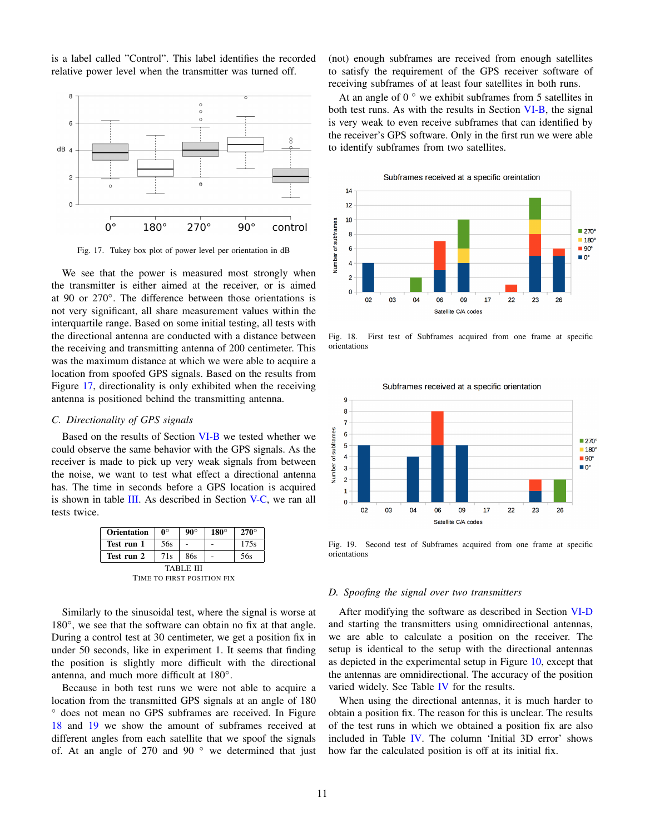is a label called "Control". This label identifies the recorded relative power level when the transmitter was turned off.



<span id="page-10-0"></span>Fig. 17. Tukey box plot of power level per orientation in dB

We see that the power is measured most strongly when the transmitter is either aimed at the receiver, or is aimed at 90 or 270◦ . The difference between those orientations is not very significant, all share measurement values within the interquartile range. Based on some initial testing, all tests with the directional antenna are conducted with a distance between the receiving and transmitting antenna of 200 centimeter. This was the maximum distance at which we were able to acquire a location from spoofed GPS signals. Based on the results from Figure [17,](#page-10-0) directionality is only exhibited when the receiving antenna is positioned behind the transmitting antenna.

## <span id="page-10-5"></span>*C. Directionality of GPS signals*

Based on the results of Section [VI-B](#page-9-4) we tested whether we could observe the same behavior with the GPS signals. As the receiver is made to pick up very weak signals from between the noise, we want to test what effect a directional antenna has. The time in seconds before a GPS location is acquired is shown in table [III.](#page-10-1) As described in Section [V-C,](#page-7-1) we ran all tests twice.

| <b>Orientation</b>         | $0^{\circ}$ | $90^\circ$ | $180^\circ$ | $270^\circ$ |  |
|----------------------------|-------------|------------|-------------|-------------|--|
| Test run 1                 | 56s         |            |             | 175s        |  |
| Test run 2                 | 71s         | 86s        |             | 56s         |  |
| TABLE III                  |             |            |             |             |  |
| TIME TO FIRST POSITION FIX |             |            |             |             |  |

<span id="page-10-1"></span>Similarly to the sinusoidal test, where the signal is worse at 180°, we see that the software can obtain no fix at that angle. During a control test at 30 centimeter, we get a position fix in under 50 seconds, like in experiment 1. It seems that finding the position is slightly more difficult with the directional antenna, and much more difficult at 180◦ .

Because in both test runs we were not able to acquire a location from the transmitted GPS signals at an angle of 180 ◦ does not mean no GPS subframes are received. In Figure [18](#page-10-2) and [19](#page-10-3) we show the amount of subframes received at different angles from each satellite that we spoof the signals of. At an angle of 270 and 90 $\degree$  we determined that just (not) enough subframes are received from enough satellites to satisfy the requirement of the GPS receiver software of receiving subframes of at least four satellites in both runs.

At an angle of  $0^\circ$  we exhibit subframes from 5 satellites in both test runs. As with the results in Section [VI-B,](#page-9-4) the signal is very weak to even receive subframes that can identified by the receiver's GPS software. Only in the first run we were able to identify subframes from two satellites.

Subframes received at a specific oreintation  $14$  $12$ 10 Number of subframes  $270^{\circ}$  $\overline{\mathbf{8}}$  $\blacksquare$  180° 6  $\blacksquare$  90°  $\blacksquare$   $0^{\circ}$  $\overline{4}$  $\overline{2}$  $\mathbf{o}$  $0<sup>2</sup>$ 03 04 06 09  $17$  $22$ 23 26 Satellite C/A codes

<span id="page-10-2"></span>Fig. 18. First test of Subframes acquired from one frame at specific orientations

Subframes received at a specific orientation



<span id="page-10-3"></span>Fig. 19. Second test of Subframes acquired from one frame at specific orientations

#### <span id="page-10-4"></span>*D. Spoofing the signal over two transmitters*

After modifying the software as described in Section [VI-D](#page-10-4) and starting the transmitters using omnidirectional antennas, we are able to calculate a position on the receiver. The setup is identical to the setup with the directional antennas as depicted in the experimental setup in Figure [10,](#page-8-2) except that the antennas are omnidirectional. The accuracy of the position varied widely. See Table [IV](#page-11-1) for the results.

When using the directional antennas, it is much harder to obtain a position fix. The reason for this is unclear. The results of the test runs in which we obtained a position fix are also included in Table [IV.](#page-11-1) The column 'Initial 3D error' shows how far the calculated position is off at its initial fix.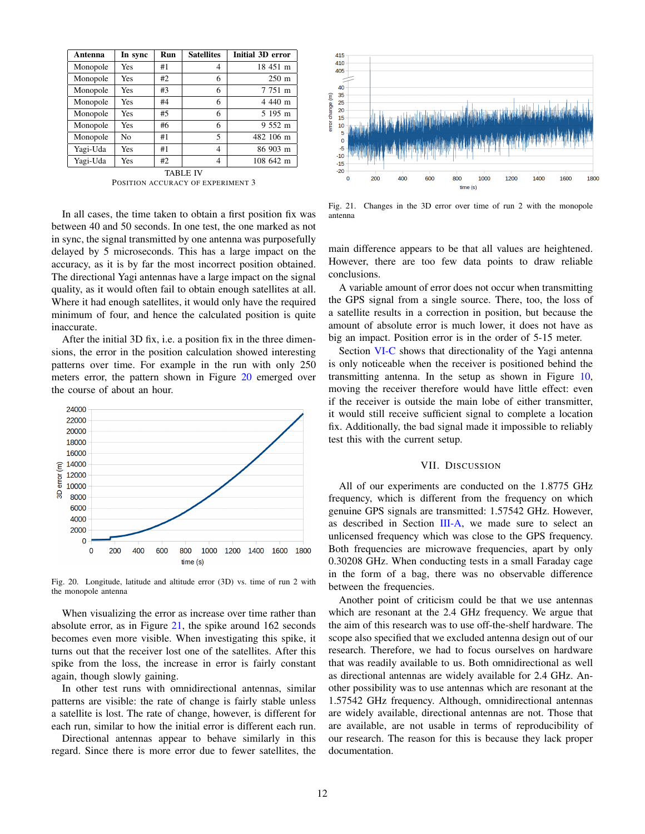| Antenna   | In sync        | <b>Run</b> | <b>Satellites</b> | Initial 3D error |  |
|-----------|----------------|------------|-------------------|------------------|--|
| Monopole  | Yes            | #1         | 4                 | 18 451 m         |  |
| Monopole  | Yes            | #2         | 6                 | $250 \text{ m}$  |  |
| Monopole  | Yes            | #3         | 6                 | 7 751 m          |  |
| Monopole  | Yes            | #4         | 6                 | 4 440 m          |  |
| Monopole  | Yes            | #5         | 6                 | 5 195 m          |  |
| Monopole  | Yes            | #6         | 6                 | 9 552 m          |  |
| Monopole  | N <sub>o</sub> | #1         | 5                 | 482 106 m        |  |
| Yagi-Uda  | Yes            | #1         | 4                 | 86 903 m         |  |
| Yagi-Uda  | Yes            | #2         | 4                 | 108 642 m        |  |
| TARI E IV |                |            |                   |                  |  |

POSITION ACCURACY OF EXPERIMENT 3

<span id="page-11-1"></span>In all cases, the time taken to obtain a first position fix was between 40 and 50 seconds. In one test, the one marked as not in sync, the signal transmitted by one antenna was purposefully delayed by 5 microseconds. This has a large impact on the accuracy, as it is by far the most incorrect position obtained. The directional Yagi antennas have a large impact on the signal quality, as it would often fail to obtain enough satellites at all. Where it had enough satellites, it would only have the required minimum of four, and hence the calculated position is quite inaccurate.

After the initial 3D fix, i.e. a position fix in the three dimensions, the error in the position calculation showed interesting patterns over time. For example in the run with only 250 meters error, the pattern shown in Figure [20](#page-11-2) emerged over the course of about an hour.



<span id="page-11-2"></span>Fig. 20. Longitude, latitude and altitude error (3D) vs. time of run 2 with the monopole antenna

When visualizing the error as increase over time rather than absolute error, as in Figure [21,](#page-11-3) the spike around 162 seconds becomes even more visible. When investigating this spike, it turns out that the receiver lost one of the satellites. After this spike from the loss, the increase in error is fairly constant again, though slowly gaining.

In other test runs with omnidirectional antennas, similar patterns are visible: the rate of change is fairly stable unless a satellite is lost. The rate of change, however, is different for each run, similar to how the initial error is different each run.

Directional antennas appear to behave similarly in this regard. Since there is more error due to fewer satellites, the



<span id="page-11-3"></span>Fig. 21. Changes in the 3D error over time of run 2 with the monopole antenna

main difference appears to be that all values are heightened. However, there are too few data points to draw reliable conclusions.

A variable amount of error does not occur when transmitting the GPS signal from a single source. There, too, the loss of a satellite results in a correction in position, but because the amount of absolute error is much lower, it does not have as big an impact. Position error is in the order of 5-15 meter.

Section [VI-C](#page-10-5) shows that directionality of the Yagi antenna is only noticeable when the receiver is positioned behind the transmitting antenna. In the setup as shown in Figure [10,](#page-8-2) moving the receiver therefore would have little effect: even if the receiver is outside the main lobe of either transmitter, it would still receive sufficient signal to complete a location fix. Additionally, the bad signal made it impossible to reliably test this with the current setup.

# VII. DISCUSSION

<span id="page-11-0"></span>All of our experiments are conducted on the 1.8775 GHz frequency, which is different from the frequency on which genuine GPS signals are transmitted: 1.57542 GHz. However, as described in Section [III-A,](#page-3-4) we made sure to select an unlicensed frequency which was close to the GPS frequency. Both frequencies are microwave frequencies, apart by only 0.30208 GHz. When conducting tests in a small Faraday cage in the form of a bag, there was no observable difference between the frequencies.

Another point of criticism could be that we use antennas which are resonant at the 2.4 GHz frequency. We argue that the aim of this research was to use off-the-shelf hardware. The scope also specified that we excluded antenna design out of our research. Therefore, we had to focus ourselves on hardware that was readily available to us. Both omnidirectional as well as directional antennas are widely available for 2.4 GHz. Another possibility was to use antennas which are resonant at the 1.57542 GHz frequency. Although, omnidirectional antennas are widely available, directional antennas are not. Those that are available, are not usable in terms of reproducibility of our research. The reason for this is because they lack proper documentation.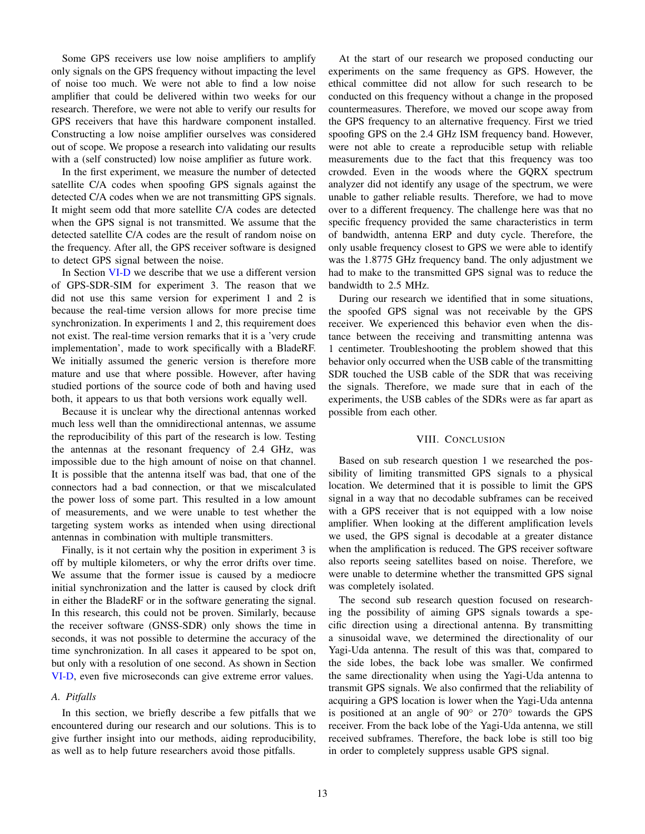Some GPS receivers use low noise amplifiers to amplify only signals on the GPS frequency without impacting the level of noise too much. We were not able to find a low noise amplifier that could be delivered within two weeks for our research. Therefore, we were not able to verify our results for GPS receivers that have this hardware component installed. Constructing a low noise amplifier ourselves was considered out of scope. We propose a research into validating our results with a (self constructed) low noise amplifier as future work.

In the first experiment, we measure the number of detected satellite C/A codes when spoofing GPS signals against the detected C/A codes when we are not transmitting GPS signals. It might seem odd that more satellite C/A codes are detected when the GPS signal is not transmitted. We assume that the detected satellite C/A codes are the result of random noise on the frequency. After all, the GPS receiver software is designed to detect GPS signal between the noise.

In Section [VI-D](#page-10-4) we describe that we use a different version of GPS-SDR-SIM for experiment 3. The reason that we did not use this same version for experiment 1 and 2 is because the real-time version allows for more precise time synchronization. In experiments 1 and 2, this requirement does not exist. The real-time version remarks that it is a 'very crude implementation', made to work specifically with a BladeRF. We initially assumed the generic version is therefore more mature and use that where possible. However, after having studied portions of the source code of both and having used both, it appears to us that both versions work equally well.

Because it is unclear why the directional antennas worked much less well than the omnidirectional antennas, we assume the reproducibility of this part of the research is low. Testing the antennas at the resonant frequency of 2.4 GHz, was impossible due to the high amount of noise on that channel. It is possible that the antenna itself was bad, that one of the connectors had a bad connection, or that we miscalculated the power loss of some part. This resulted in a low amount of measurements, and we were unable to test whether the targeting system works as intended when using directional antennas in combination with multiple transmitters.

Finally, is it not certain why the position in experiment 3 is off by multiple kilometers, or why the error drifts over time. We assume that the former issue is caused by a mediocre initial synchronization and the latter is caused by clock drift in either the BladeRF or in the software generating the signal. In this research, this could not be proven. Similarly, because the receiver software (GNSS-SDR) only shows the time in seconds, it was not possible to determine the accuracy of the time synchronization. In all cases it appeared to be spot on, but only with a resolution of one second. As shown in Section [VI-D,](#page-10-4) even five microseconds can give extreme error values.

## *A. Pitfalls*

In this section, we briefly describe a few pitfalls that we encountered during our research and our solutions. This is to give further insight into our methods, aiding reproducibility, as well as to help future researchers avoid those pitfalls.

At the start of our research we proposed conducting our experiments on the same frequency as GPS. However, the ethical committee did not allow for such research to be conducted on this frequency without a change in the proposed countermeasures. Therefore, we moved our scope away from the GPS frequency to an alternative frequency. First we tried spoofing GPS on the 2.4 GHz ISM frequency band. However, were not able to create a reproducible setup with reliable measurements due to the fact that this frequency was too crowded. Even in the woods where the GQRX spectrum analyzer did not identify any usage of the spectrum, we were unable to gather reliable results. Therefore, we had to move over to a different frequency. The challenge here was that no specific frequency provided the same characteristics in term of bandwidth, antenna ERP and duty cycle. Therefore, the only usable frequency closest to GPS we were able to identify was the 1.8775 GHz frequency band. The only adjustment we had to make to the transmitted GPS signal was to reduce the bandwidth to 2.5 MHz.

During our research we identified that in some situations, the spoofed GPS signal was not receivable by the GPS receiver. We experienced this behavior even when the distance between the receiving and transmitting antenna was 1 centimeter. Troubleshooting the problem showed that this behavior only occurred when the USB cable of the transmitting SDR touched the USB cable of the SDR that was receiving the signals. Therefore, we made sure that in each of the experiments, the USB cables of the SDRs were as far apart as possible from each other.

#### VIII. CONCLUSION

<span id="page-12-0"></span>Based on sub research question 1 we researched the possibility of limiting transmitted GPS signals to a physical location. We determined that it is possible to limit the GPS signal in a way that no decodable subframes can be received with a GPS receiver that is not equipped with a low noise amplifier. When looking at the different amplification levels we used, the GPS signal is decodable at a greater distance when the amplification is reduced. The GPS receiver software also reports seeing satellites based on noise. Therefore, we were unable to determine whether the transmitted GPS signal was completely isolated.

The second sub research question focused on researching the possibility of aiming GPS signals towards a specific direction using a directional antenna. By transmitting a sinusoidal wave, we determined the directionality of our Yagi-Uda antenna. The result of this was that, compared to the side lobes, the back lobe was smaller. We confirmed the same directionality when using the Yagi-Uda antenna to transmit GPS signals. We also confirmed that the reliability of acquiring a GPS location is lower when the Yagi-Uda antenna is positioned at an angle of 90◦ or 270◦ towards the GPS receiver. From the back lobe of the Yagi-Uda antenna, we still received subframes. Therefore, the back lobe is still too big in order to completely suppress usable GPS signal.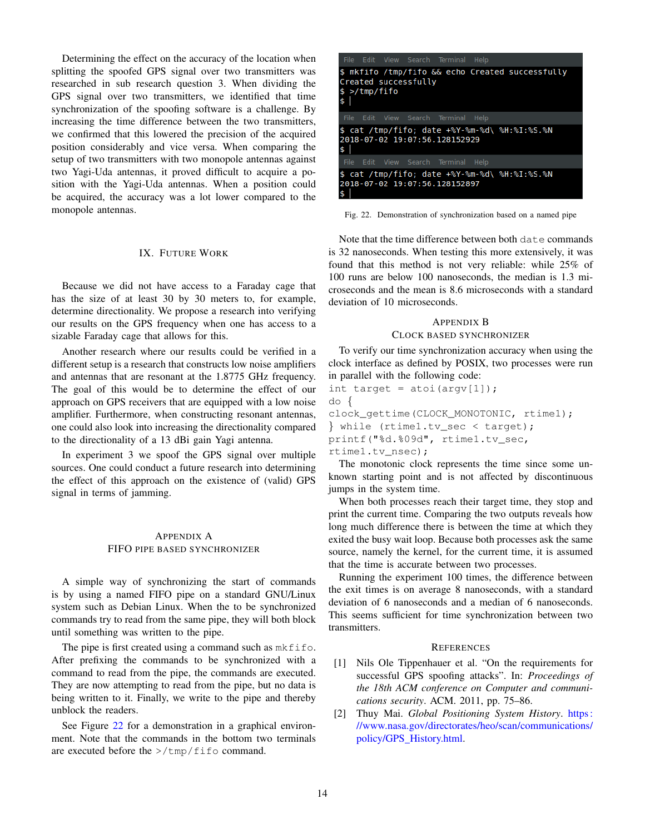Determining the effect on the accuracy of the location when splitting the spoofed GPS signal over two transmitters was researched in sub research question 3. When dividing the GPS signal over two transmitters, we identified that time synchronization of the spoofing software is a challenge. By increasing the time difference between the two transmitters, we confirmed that this lowered the precision of the acquired position considerably and vice versa. When comparing the setup of two transmitters with two monopole antennas against two Yagi-Uda antennas, it proved difficult to acquire a position with the Yagi-Uda antennas. When a position could be acquired, the accuracy was a lot lower compared to the monopole antennas.

## IX. FUTURE WORK

<span id="page-13-2"></span>Because we did not have access to a Faraday cage that has the size of at least 30 by 30 meters to, for example, determine directionality. We propose a research into verifying our results on the GPS frequency when one has access to a sizable Faraday cage that allows for this.

Another research where our results could be verified in a different setup is a research that constructs low noise amplifiers and antennas that are resonant at the 1.8775 GHz frequency. The goal of this would be to determine the effect of our approach on GPS receivers that are equipped with a low noise amplifier. Furthermore, when constructing resonant antennas, one could also look into increasing the directionality compared to the directionality of a 13 dBi gain Yagi antenna.

In experiment 3 we spoof the GPS signal over multiple sources. One could conduct a future research into determining the effect of this approach on the existence of (valid) GPS signal in terms of jamming.

## <span id="page-13-3"></span>APPENDIX A FIFO PIPE BASED SYNCHRONIZER

A simple way of synchronizing the start of commands is by using a named FIFO pipe on a standard GNU/Linux system such as Debian Linux. When the to be synchronized commands try to read from the same pipe, they will both block until something was written to the pipe.

The pipe is first created using a command such as  $m$ kfifo. After prefixing the commands to be synchronized with a command to read from the pipe, the commands are executed. They are now attempting to read from the pipe, but no data is being written to it. Finally, we write to the pipe and thereby unblock the readers.

See Figure [22](#page-13-5) for a demonstration in a graphical environment. Note that the commands in the bottom two terminals are executed before the  $>$ /tmp/fifo command.

|                     |                      | File Edit View Search Terminal Help |                                                  |  |
|---------------------|----------------------|-------------------------------------|--------------------------------------------------|--|
| \$<br>\$ >/tmp/fifo | Created successfully |                                     | \$ mkfifo /tmp/fifo && echo Created successfully |  |
|                     |                      | File Edit View Search Terminal Help |                                                  |  |
| \$                  |                      | 2018-07-02 19:07:56.128152929       | \$ cat /tmp/fifo; date +%Y-%m-%d\ %H:%I:%S.%N    |  |
|                     |                      | File Edit View Search Terminal Help |                                                  |  |
|                     |                      | 2018-07-02 19:07:56.128152897       | \$ cat /tmp/fifo; date +%Y-%m-%d\ %H:%I:%S.%N    |  |

<span id="page-13-5"></span>Fig. 22. Demonstration of synchronization based on a named pipe

Note that the time difference between both date commands is 32 nanoseconds. When testing this more extensively, it was found that this method is not very reliable: while 25% of 100 runs are below 100 nanoseconds, the median is 1.3 microseconds and the mean is 8.6 microseconds with a standard deviation of 10 microseconds.

# <span id="page-13-4"></span>APPENDIX B CLOCK BASED SYNCHRONIZER

To verify our time synchronization accuracy when using the clock interface as defined by POSIX, two processes were run in parallel with the following code:

```
int target = atoi(argv[1]);
do {
clock qettime(CLOCK MONOTONIC, rtime1);
} while (rtime1.tv_sec < target);
printf("%d.%09d", rtime1.tv_sec,
rtime1.tv_nsec);
```
The monotonic clock represents the time since some unknown starting point and is not affected by discontinuous jumps in the system time.

When both processes reach their target time, they stop and print the current time. Comparing the two outputs reveals how long much difference there is between the time at which they exited the busy wait loop. Because both processes ask the same source, namely the kernel, for the current time, it is assumed that the time is accurate between two processes.

Running the experiment 100 times, the difference between the exit times is on average 8 nanoseconds, with a standard deviation of 6 nanoseconds and a median of 6 nanoseconds. This seems sufficient for time synchronization between two transmitters.

## **REFERENCES**

- <span id="page-13-0"></span>[1] Nils Ole Tippenhauer et al. "On the requirements for successful GPS spoofing attacks". In: *Proceedings of the 18th ACM conference on Computer and communications security*. ACM. 2011, pp. 75–86.
- <span id="page-13-1"></span>[2] Thuy Mai. *Global Positioning System History*. [https :](https://www.nasa.gov/directorates/heo/scan/communications/policy/GPS_History.html) [//www.nasa.gov/directorates/heo/scan/communications/](https://www.nasa.gov/directorates/heo/scan/communications/policy/GPS_History.html) policy/GPS\_[History.html.](https://www.nasa.gov/directorates/heo/scan/communications/policy/GPS_History.html)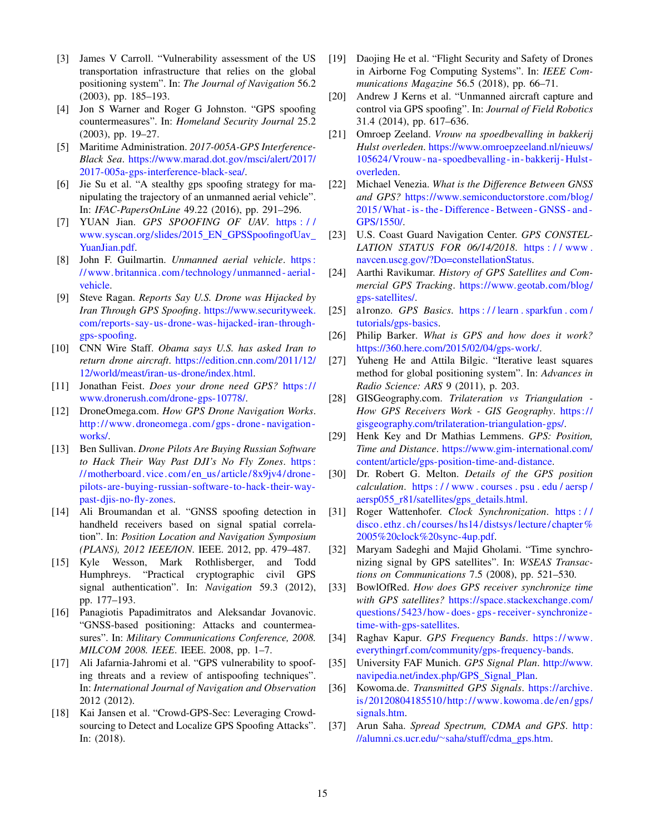- <span id="page-14-0"></span>[3] James V Carroll. "Vulnerability assessment of the US transportation infrastructure that relies on the global positioning system". In: *The Journal of Navigation* 56.2 (2003), pp. 185–193.
- <span id="page-14-1"></span>[4] Jon S Warner and Roger G Johnston. "GPS spoofing countermeasures". In: *Homeland Security Journal* 25.2 (2003), pp. 19–27.
- <span id="page-14-2"></span>[5] Maritime Administration. *2017-005A-GPS Interference-Black Sea*. [https://www.marad.dot.gov/msci/alert/2017/](https://www.marad.dot.gov/msci/alert/2017/2017-005a-gps-interference-black-sea/) [2017-005a-gps-interference-black-sea/.](https://www.marad.dot.gov/msci/alert/2017/2017-005a-gps-interference-black-sea/)
- <span id="page-14-3"></span>[6] Jie Su et al. "A stealthy gps spoofing strategy for manipulating the trajectory of an unmanned aerial vehicle". In: *IFAC-PapersOnLine* 49.22 (2016), pp. 291–296.
- <span id="page-14-4"></span>[7] YUAN Jian. *GPS SPOOFING OF UAV*. [https : / /](https://www.syscan.org/slides/2015_EN_GPSSpoofingofUav_YuanJian.pdf) [www.syscan.org/slides/2015](https://www.syscan.org/slides/2015_EN_GPSSpoofingofUav_YuanJian.pdf)\_EN\_GPSSpoofingofUav\_ [YuanJian.pdf.](https://www.syscan.org/slides/2015_EN_GPSSpoofingofUav_YuanJian.pdf)
- <span id="page-14-5"></span>[8] John F. Guilmartin. *Unmanned aerial vehicle*. [https :](https://www.britannica.com/technology/unmanned-aerial-vehicle) [//www. britannica. com/technology/ unmanned - aerial](https://www.britannica.com/technology/unmanned-aerial-vehicle)  [vehicle.](https://www.britannica.com/technology/unmanned-aerial-vehicle)
- <span id="page-14-6"></span>[9] Steve Ragan. *Reports Say U.S. Drone was Hijacked by Iran Through GPS Spoofing*. [https://www.securityweek.](https://www.securityweek.com/reports-say-us-drone-was-hijacked-iran-through-gps-spoofing) [com/reports-say-us-drone-was-hijacked-iran-through](https://www.securityweek.com/reports-say-us-drone-was-hijacked-iran-through-gps-spoofing)[gps-spoofing.](https://www.securityweek.com/reports-say-us-drone-was-hijacked-iran-through-gps-spoofing)
- <span id="page-14-7"></span>[10] CNN Wire Staff. *Obama says U.S. has asked Iran to return drone aircraft*. [https://edition.cnn.com/2011/12/](https://edition.cnn.com/2011/12/12/world/meast/iran-us-drone/index.html) [12/world/meast/iran-us-drone/index.html.](https://edition.cnn.com/2011/12/12/world/meast/iran-us-drone/index.html)
- <span id="page-14-8"></span>[11] Jonathan Feist. *Does your drone need GPS?* [https://](https://www.dronerush.com/drone-gps-10778/) [www.dronerush.com/drone-gps-10778/.](https://www.dronerush.com/drone-gps-10778/)
- <span id="page-14-9"></span>[12] DroneOmega.com. *How GPS Drone Navigation Works*. [http://www. droneomega.com/ gps - drone - navigation](http://www.droneomega.com/gps-drone-navigation-works/)  [works/.](http://www.droneomega.com/gps-drone-navigation-works/)
- <span id="page-14-10"></span>[13] Ben Sullivan. *Drone Pilots Are Buying Russian Software to Hack Their Way Past DJI's No Fly Zones*. [https :](https://motherboard.vice.com/en_us/article/8x9jv4/drone-pilots-are-buying-russian-software-to-hack-their-way-past-djis-no-fly-zones) //motherboard.vice.com/en\_us/article/8x9jv4/drone[pilots-are-buying-russian-software-to-hack-their-way](https://motherboard.vice.com/en_us/article/8x9jv4/drone-pilots-are-buying-russian-software-to-hack-their-way-past-djis-no-fly-zones)[past-djis-no-fly-zones.](https://motherboard.vice.com/en_us/article/8x9jv4/drone-pilots-are-buying-russian-software-to-hack-their-way-past-djis-no-fly-zones)
- <span id="page-14-11"></span>[14] Ali Broumandan et al. "GNSS spoofing detection in handheld receivers based on signal spatial correlation". In: *Position Location and Navigation Symposium (PLANS), 2012 IEEE/ION*. IEEE. 2012, pp. 479–487.
- <span id="page-14-12"></span>[15] Kyle Wesson, Mark Rothlisberger, and Todd Humphreys. "Practical cryptographic civil GPS signal authentication". In: *Navigation* 59.3 (2012), pp. 177–193.
- <span id="page-14-13"></span>[16] Panagiotis Papadimitratos and Aleksandar Jovanovic. "GNSS-based positioning: Attacks and countermeasures". In: *Military Communications Conference, 2008. MILCOM 2008. IEEE*. IEEE. 2008, pp. 1–7.
- <span id="page-14-14"></span>[17] Ali Jafarnia-Jahromi et al. "GPS vulnerability to spoofing threats and a review of antispoofing techniques". In: *International Journal of Navigation and Observation* 2012 (2012).
- <span id="page-14-15"></span>[18] Kai Jansen et al. "Crowd-GPS-Sec: Leveraging Crowdsourcing to Detect and Localize GPS Spoofing Attacks". In: (2018).
- <span id="page-14-16"></span>[19] Daojing He et al. "Flight Security and Safety of Drones" in Airborne Fog Computing Systems". In: *IEEE Communications Magazine* 56.5 (2018), pp. 66–71.
- <span id="page-14-17"></span>[20] Andrew J Kerns et al. "Unmanned aircraft capture and control via GPS spoofing". In: *Journal of Field Robotics* 31.4 (2014), pp. 617–636.
- <span id="page-14-18"></span>[21] Omroep Zeeland. *Vrouw na spoedbevalling in bakkerij Hulst overleden*. [https://www.omroepzeeland.nl/nieuws/](https://www.omroepzeeland.nl/nieuws/105624/Vrouw-na-spoedbevalling-in-bakkerij-Hulst-overleden) [105624/Vrouw- na- spoedbevalling-in- bakkerij- Hulst](https://www.omroepzeeland.nl/nieuws/105624/Vrouw-na-spoedbevalling-in-bakkerij-Hulst-overleden)[overleden.](https://www.omroepzeeland.nl/nieuws/105624/Vrouw-na-spoedbevalling-in-bakkerij-Hulst-overleden)
- <span id="page-14-19"></span>[22] Michael Venezia. *What is the Difference Between GNSS and GPS?* [https://www.semiconductorstore.com/blog/](https://www.semiconductorstore.com/blog/2015/What-is-the-Difference-Between-GNSS-and-GPS/1550/) [2015/What - is - the - Difference - Between - GNSS - and -](https://www.semiconductorstore.com/blog/2015/What-is-the-Difference-Between-GNSS-and-GPS/1550/) [GPS/1550/.](https://www.semiconductorstore.com/blog/2015/What-is-the-Difference-Between-GNSS-and-GPS/1550/)
- <span id="page-14-20"></span>[23] U.S. Coast Guard Navigation Center. *GPS CONSTEL-LATION STATUS FOR 06/14/2018*. [https : / / www .](https://www.navcen.uscg.gov/?Do=constellationStatus) [navcen.uscg.gov/?Do=constellationStatus.](https://www.navcen.uscg.gov/?Do=constellationStatus)
- <span id="page-14-21"></span>[24] Aarthi Ravikumar. *History of GPS Satellites and Commercial GPS Tracking*. [https://www.geotab.com/blog/](https://www.geotab.com/blog/gps-satellites/) [gps-satellites/.](https://www.geotab.com/blog/gps-satellites/)
- <span id="page-14-22"></span>[25] a1ronzo. *GPS Basics*. [https : / / learn . sparkfun . com /](https://learn.sparkfun.com/tutorials/gps-basics) [tutorials/gps-basics.](https://learn.sparkfun.com/tutorials/gps-basics)
- <span id="page-14-23"></span>[26] Philip Barker. *What is GPS and how does it work?* [https://360.here.com/2015/02/04/gps-work/.](https://360.here.com/2015/02/04/gps-work/)
- <span id="page-14-24"></span>[27] Yuheng He and Attila Bilgic. "Iterative least squares method for global positioning system". In: *Advances in Radio Science: ARS* 9 (2011), p. 203.
- <span id="page-14-25"></span>[28] GISGeography.com. *Trilateration vs Triangulation - How GPS Receivers Work - GIS Geography*. [https://](https://gisgeography.com/trilateration-triangulation-gps/) [gisgeography.com/trilateration-triangulation-gps/.](https://gisgeography.com/trilateration-triangulation-gps/)
- <span id="page-14-26"></span>[29] Henk Key and Dr Mathias Lemmens. *GPS: Position, Time and Distance*. [https://www.gim-international.com/](https://www.gim-international.com/content/article/gps-position-time-and-distance) [content/article/gps-position-time-and-distance.](https://www.gim-international.com/content/article/gps-position-time-and-distance)
- <span id="page-14-27"></span>[30] Dr. Robert G. Melton. *Details of the GPS position calculation*. [https : / / www . courses . psu . edu / aersp /](https://www.courses.psu.edu/aersp/aersp055_r81/satellites/gps_details.html) aersp055\_[r81/satellites/gps](https://www.courses.psu.edu/aersp/aersp055_r81/satellites/gps_details.html)\_details.html.
- <span id="page-14-28"></span>[31] Roger Wattenhofer. *Clock Synchronization*. [https : / /](https://disco.ethz.ch/courses/hs14/distsys/lecture/chapter%2005%20clock%20sync-4up.pdf) disco. ethz. ch/ courses/hs14/ distsys/lecture/ chapter % [2005%20clock%20sync-4up.pdf.](https://disco.ethz.ch/courses/hs14/distsys/lecture/chapter%2005%20clock%20sync-4up.pdf)
- <span id="page-14-29"></span>[32] Maryam Sadeghi and Majid Gholami. "Time synchronizing signal by GPS satellites". In: *WSEAS Transactions on Communications* 7.5 (2008), pp. 521–530.
- <span id="page-14-30"></span>[33] BowlOfRed. *How does GPS receiver synchronize time* with GPS satellites? [https://space.stackexchange.com/](https://space.stackexchange.com/questions/5423/how-does-gps-receiver-synchronize-time-with-gps-satellites) [questions/ 5423/ how - does - gps - receiver - synchronize](https://space.stackexchange.com/questions/5423/how-does-gps-receiver-synchronize-time-with-gps-satellites)  [time-with-gps-satellites.](https://space.stackexchange.com/questions/5423/how-does-gps-receiver-synchronize-time-with-gps-satellites)
- <span id="page-14-31"></span>[34] Raghav Kapur. *GPS Frequency Bands*. [https://www.](https://www.everythingrf.com/community/gps-frequency-bands) [everythingrf.com/community/gps-frequency-bands.](https://www.everythingrf.com/community/gps-frequency-bands)
- <span id="page-14-32"></span>[35] University FAF Munich. *GPS Signal Plan*. [http://www.](http://www.navipedia.net/index.php/GPS_Signal_Plan) [navipedia.net/index.php/GPS](http://www.navipedia.net/index.php/GPS_Signal_Plan)\_Signal\_Plan.
- <span id="page-14-33"></span>[36] Kowoma.de. *Transmitted GPS Signals*. [https://archive.](https://archive.is/20120804185510/http://www.kowoma.de/en/gps/signals.htm) [is/ 20120804185510/ http://www. kowoma. de/en/ gps/](https://archive.is/20120804185510/http://www.kowoma.de/en/gps/signals.htm) [signals.htm.](https://archive.is/20120804185510/http://www.kowoma.de/en/gps/signals.htm)
- <span id="page-14-34"></span>[37] Arun Saha. *Spread Spectrum, CDMA and GPS*. [http:](http://alumni.cs.ucr.edu/~saha/stuff/cdma_gps.htm) [//alumni.cs.ucr.edu/](http://alumni.cs.ucr.edu/~saha/stuff/cdma_gps.htm)<sup>∼</sup>saha/stuff/cdma gps.htm.